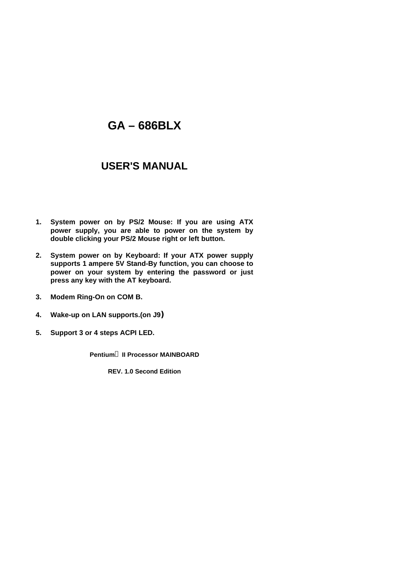# **GA – 686BLX**

# **USER'S MANUAL**

- **1. System power on by PS/2 Mouse: If you are using ATX power supply, you are able to power on the system by double clicking your PS/2 Mouse right or left button.**
- **2. System power on by Keyboard: If your ATX power supply supports 1 ampere 5V Stand-By function, you can choose to power on your system by entering the password or just press any key with the AT keyboard.**
- **3. Modem Ring-On on COM B.**
- **4. Wake-up on LAN supports.(on J9**)
- **5. Support 3 or 4 steps ACPI LED.**

**Pentiumâ II Processor MAINBOARD**

**REV. 1.0 Second Edition**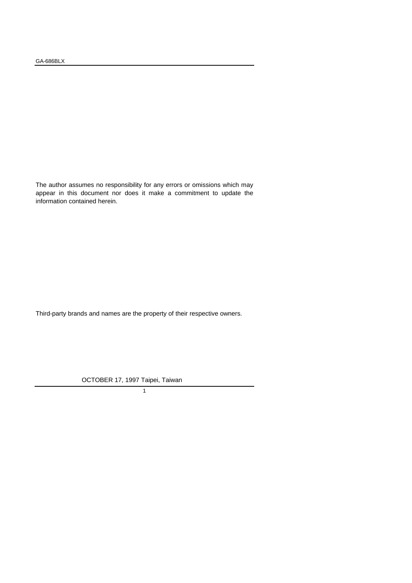The author assumes no responsibility for any errors or omissions which may appear in this document nor does it make a commitment to update the information contained herein.

Third-party brands and names are the property of their respective owners.

OCTOBER 17, 1997 Taipei, Taiwan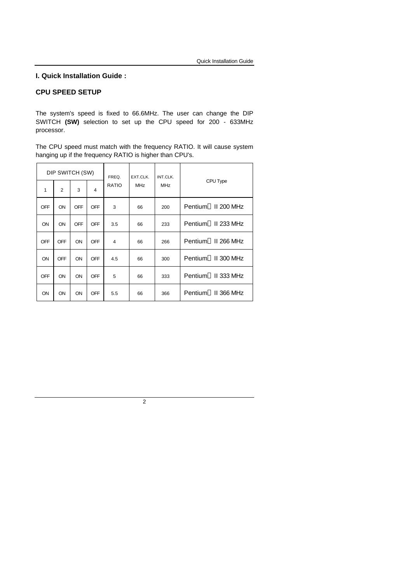#### **I. Quick Installation Guide :**

#### **CPU SPEED SETUP**

The system's speed is fixed to 66.6MHz. The user can change the DIP SWITCH **(SW)** selection to set up the CPU speed for 200 - 633MHz processor.

The CPU speed must match with the frequency RATIO. It will cause system hanging up if the frequency RATIO is higher than CPU's.

| DIP SWITCH (SW) |                |            |                | FREQ.        | EXT.CLK.   | INT.CLK.   |                                 |
|-----------------|----------------|------------|----------------|--------------|------------|------------|---------------------------------|
| 1               | $\overline{2}$ | 3          | $\overline{4}$ | <b>RATIO</b> | <b>MHz</b> | <b>MHz</b> | CPU Type                        |
| <b>OFF</b>      | ON             | <b>OFF</b> | <b>OFF</b>     | 3            | 66         | 200        | Pentium <sup>®</sup> II 200 MHz |
| ON              | ON             | <b>OFF</b> | <b>OFF</b>     | 3.5          | 66         | 233        | Pentium <sup>®</sup> II 233 MHz |
| <b>OFF</b>      | OFF            | ON         | <b>OFF</b>     | 4            | 66         | 266        | Pentium <sup>®</sup> II 266 MHz |
| ON              | <b>OFF</b>     | ON         | <b>OFF</b>     | 4.5          | 66         | 300        | Pentium <sup>®</sup> II 300 MHz |
| <b>OFF</b>      | ON             | ON         | OFF            | 5            | 66         | 333        | Pentium <sup>®</sup> II 333 MHz |
| ON              | ON             | ON         | <b>OFF</b>     | 5.5          | 66         | 366        | Pentium <sup>®</sup> II 366 MHz |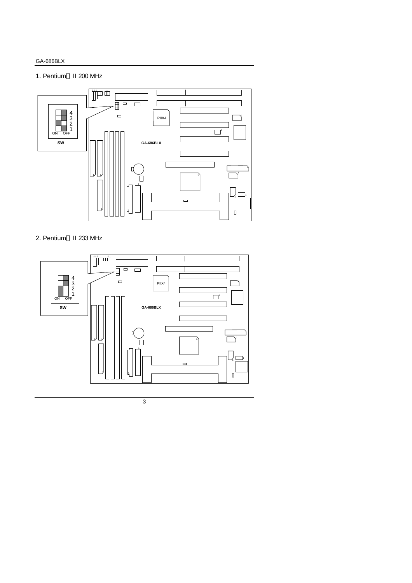### GA-686BLX

1. Pentium<sup>®</sup> II 200 MHz



2. Pentium<sup>®</sup> II 233 MHz

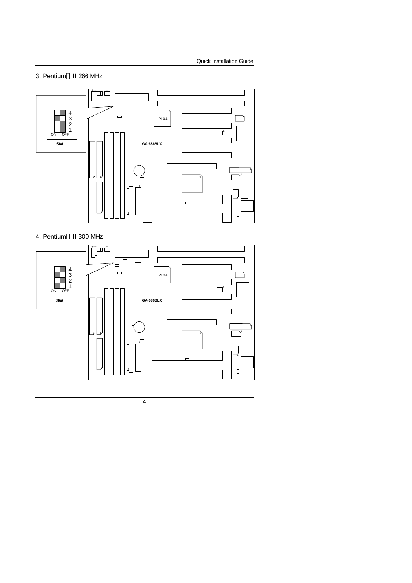3. Pentium<sup>®</sup> II 266 MHz



4. Pentium<sup>®</sup> II 300 MHz

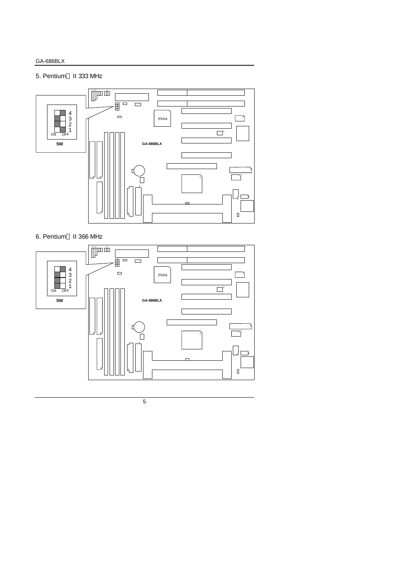### 5. Pentium<sup>®</sup> II 333 MHz



6. Pentium<sup>®</sup> II 366 MHz

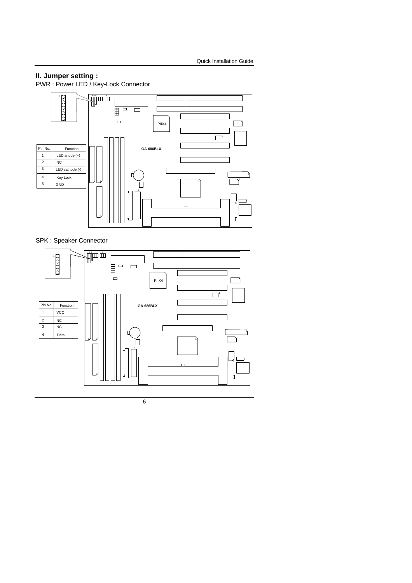#### **II. Jumper setting :**

PWR : Power LED / Key-Lock Connector



SPK : Speaker Connector

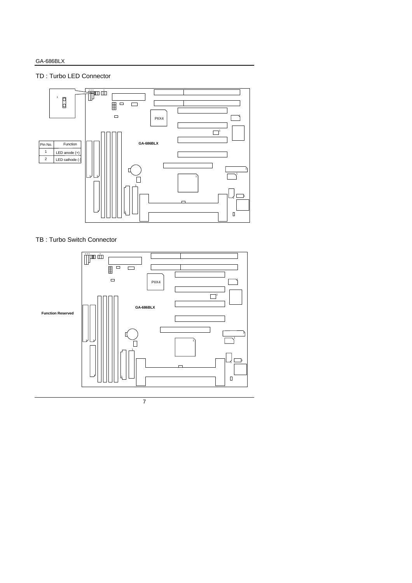### TD : Turbo LED Connector



TB : Turbo Switch Connector

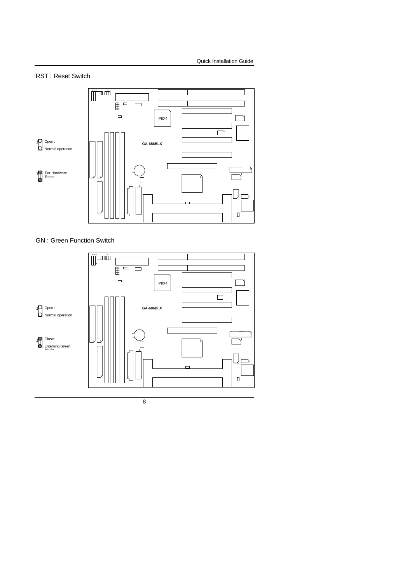### RST : Reset Switch



GN : Green Function Switch

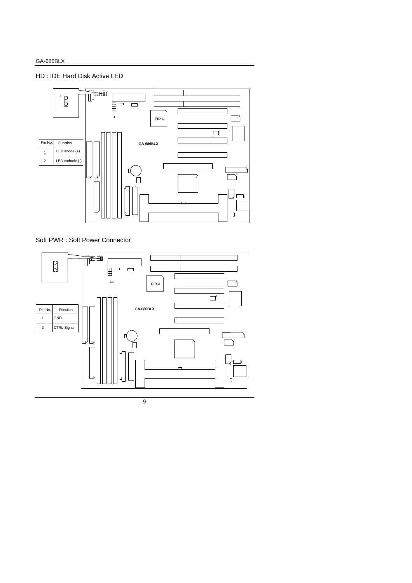HD : IDE Hard Disk Active LED



Soft PWR : Soft Power Connector

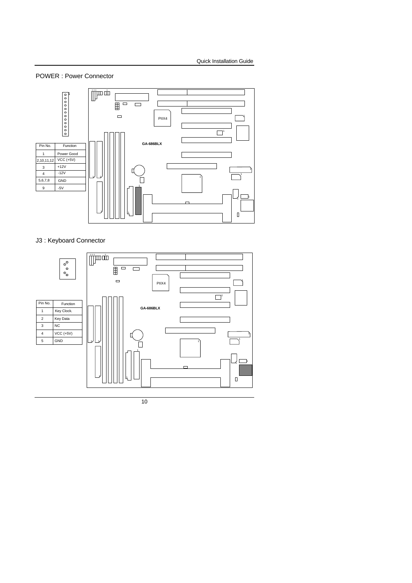POWER : Power Connector



### J3 : Keyboard Connector

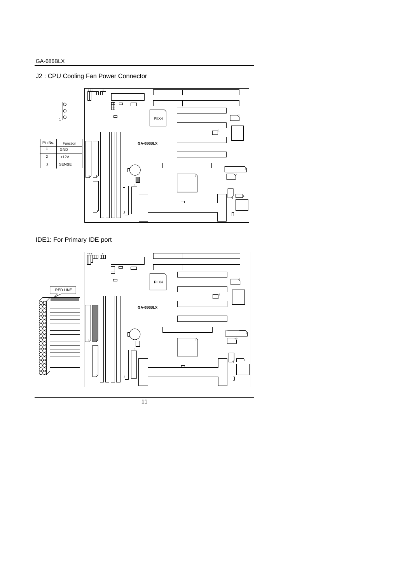J2 : CPU Cooling Fan Power Connector



IDE1: For Primary IDE port

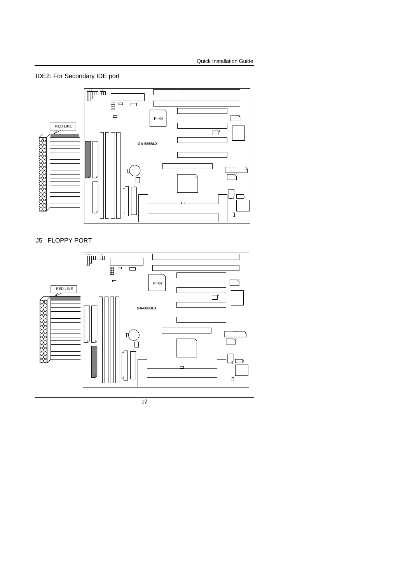IDE2: For Secondary IDE port



J5 : FLOPPY PORT

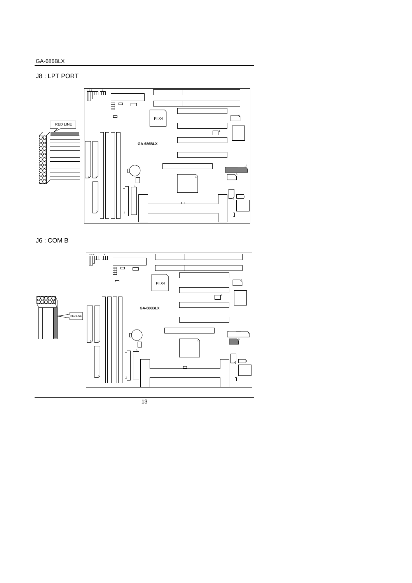### GA-686BLX

# J8 : LPT PORT



J6 : COM B

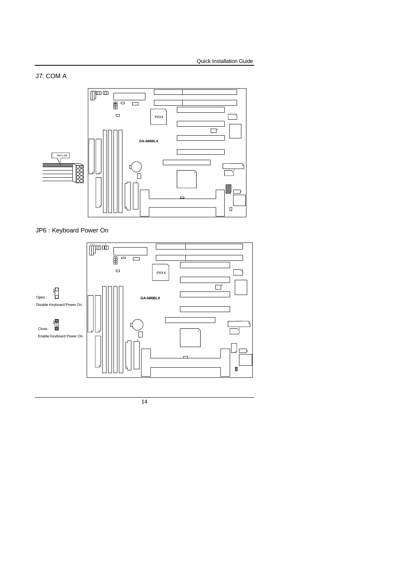

JP6 : Keyboard Power On

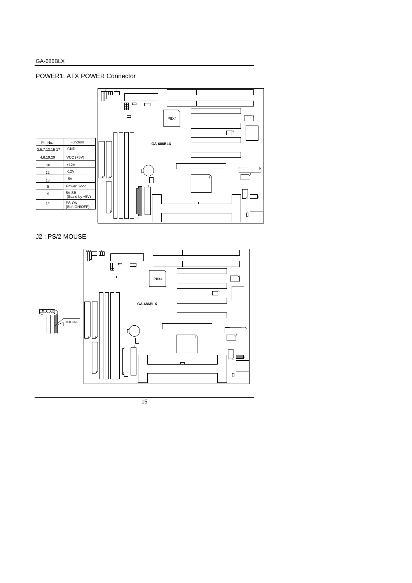#### GA-686BLX

#### POWER1: ATX POWER Connector



## J2 : PS/2 MOUSE

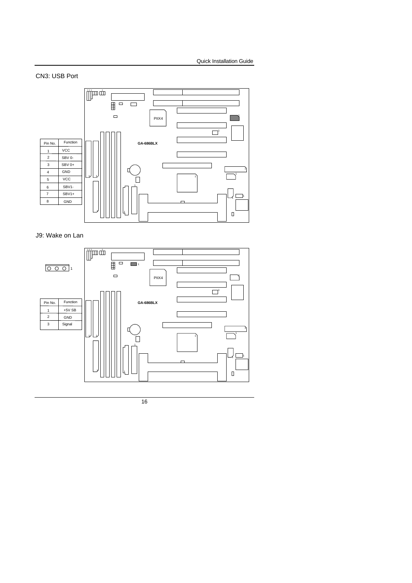# CN3: USB Port



J9: Wake on Lan

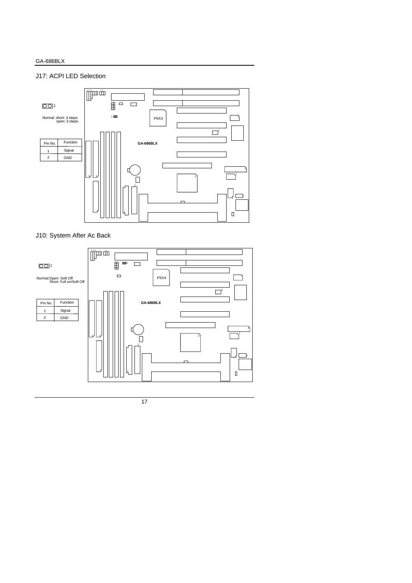### J17: ACPI LED Selection



J10: System After Ac Back